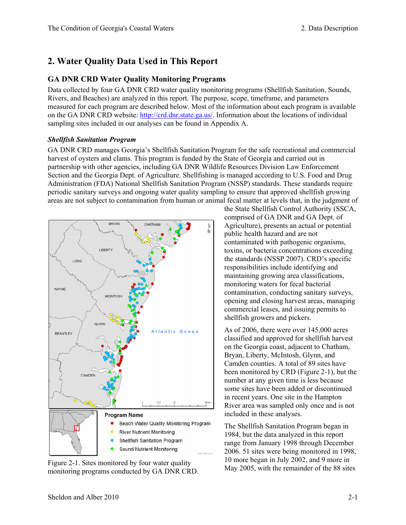# **2. Water Quality Data Used in This Report**

# **GA DNR CRD Water Quality Monitoring Programs**

Data collected by four GA DNR CRD water quality monitoring programs (Shellfish Sanitation, Sounds, Rivers, and Beaches) are analyzed in this report. The purpose, scope, timeframe, and parameters measured for each program are described below. Most of the information about each program is available on the GA DNR CRD website: [http://crd.dnr.state.ga.us/.](http://crd.dnr.state.ga.us/) Information about the locations of individual sampling sites included in our analyses can be found in Appendix A.

#### *Shellfish Sanitation Program*

GA DNR CRD manages Georgia's Shellfish Sanitation Program for the safe recreational and commercial harvest of oysters and clams. This program is funded by the State of Georgia and carried out in partnership with other agencies, including GA DNR Wildlife Resources Division Law Enforcement Section and the Georgia Dept. of Agriculture. Shellfishing is managed according to U.S. Food and Drug Administration (FDA) National Shellfish Sanitation Program (NSSP) standards. These standards require periodic sanitary surveys and ongoing water quality sampling to ensure that approved shellfish growing areas are not subject to contamination from human or animal fecal matter at levels that, in the judgment of



Figure 2-1. Sites monitored by four water quality  $\frac{10 \text{ more began in July 2002, and 9 more in}}{\text{May 2005, with the remainder of the 88 sites}}$ monitoring programs conducted by GA DNR CRD.

the State Shellfish Control Authority (SSCA, comprised of GA DNR and GA Dept. of Agriculture), presents an actual or potential public health hazard and are not contaminated with pathogenic organisms, toxins, or bacteria concentrations exceeding the standards (NSSP 2007). CRD's specific responsibilities include identifying and maintaining growing area classifications, monitoring waters for fecal bacterial contamination, conducting sanitary surveys, opening and closing harvest areas, managing commercial leases, and issuing permits to shellfish growers and pickers.

As of 2006, there were over 145,000 acres classified and approved for shellfish harvest on the Georgia coast, adjacent to Chatham, Bryan, Liberty, McIntosh, Glynn, and Camden counties. A total of 89 sites have been monitored by CRD (Figure 2-1), but the number at any given time is less because some sites have been added or discontinued in recent years. One site in the Hampton River area was sampled only once and is not included in these analyses.

The Shellfish Sanitation Program began in 1984, but the data analyzed in this report range from January 1998 through December 2006. 51 sites were being monitored in 1998, 10 more began in July 2002, and 9 more in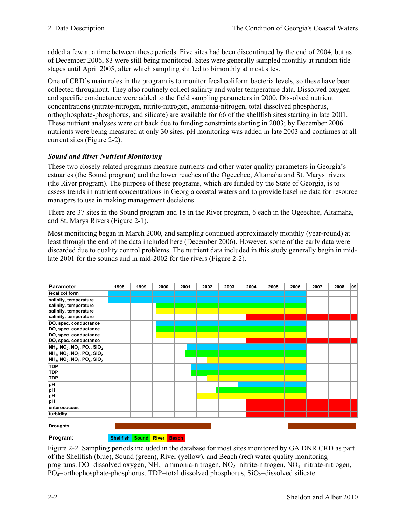added a few at a time between these periods. Five sites had been discontinued by the end of 2004, but as of December 2006, 83 were still being monitored. Sites were generally sampled monthly at random tide stages until April 2005, after which sampling shifted to bimonthly at most sites.

One of CRD's main roles in the program is to monitor fecal coliform bacteria levels, so these have been collected throughout. They also routinely collect salinity and water temperature data. Dissolved oxygen and specific conductance were added to the field sampling parameters in 2000. Dissolved nutrient concentrations (nitrate-nitrogen, nitrite-nitrogen, ammonia-nitrogen, total dissolved phosphorus, orthophosphate-phosphorus, and silicate) are available for 66 of the shellfish sites starting in late 2001. These nutrient analyses were cut back due to funding constraints starting in 2003; by December 2006 nutrients were being measured at only 30 sites. pH monitoring was added in late 2003 and continues at all current sites (Figure 2-2).

# *Sound and River Nutrient Monitoring*

These two closely related programs measure nutrients and other water quality parameters in Georgia's estuaries (the Sound program) and the lower reaches of the Ogeechee, Altamaha and St. Marys rivers (the River program). The purpose of these programs, which are funded by the State of Georgia, is to assess trends in nutrient concentrations in Georgia coastal waters and to provide baseline data for resource managers to use in making management decisions.

There are 37 sites in the Sound program and 18 in the River program, 6 each in the Ogeechee, Altamaha, and St. Marys Rivers (Figure 2-1).

Most monitoring began in March 2000, and sampling continued approximately monthly (year-round) at least through the end of the data included here (December 2006). However, some of the early data were discarded due to quality control problems. The nutrient data included in this study generally begin in midlate 2001 for the sounds and in mid-2002 for the rivers (Figure 2-2).

| <b>Parameter</b>                                                                                                                                                                                                                                                                 | 1998 | 1999 | 2000 | 2001 | 2002 | 2003 | 2004 | 2005 | 2006 | 2007 | 2008 | 09 |
|----------------------------------------------------------------------------------------------------------------------------------------------------------------------------------------------------------------------------------------------------------------------------------|------|------|------|------|------|------|------|------|------|------|------|----|
| fecal coliform                                                                                                                                                                                                                                                                   |      |      |      |      |      |      |      |      |      |      |      |    |
| salinity, temperature<br>salinity, temperature<br>salinity, temperature<br>salinity, temperature                                                                                                                                                                                 |      |      |      |      |      |      |      |      |      |      |      |    |
| DO, spec. conductance<br>DO, spec. conductance<br>DO, spec. conductance<br>DO, spec. conductance                                                                                                                                                                                 |      |      |      |      |      |      |      |      |      |      |      |    |
| NH <sub>3</sub> , NO <sub>2</sub> , NO <sub>3</sub> , PO <sub>4</sub> , SiO <sub>2</sub><br>NH <sub>3</sub> , NO <sub>2</sub> , NO <sub>3</sub> , PO <sub>4</sub> , SiO <sub>2</sub><br>NH <sub>3</sub> , NO <sub>2</sub> , NO <sub>3</sub> , PO <sub>4</sub> , SiO <sub>2</sub> |      |      |      |      |      |      |      |      |      |      |      |    |
| <b>TDP</b><br><b>TDP</b><br><b>TDP</b>                                                                                                                                                                                                                                           |      |      |      |      |      |      |      |      |      |      |      |    |
| pH<br>рH<br>pH                                                                                                                                                                                                                                                                   |      |      |      |      |      |      |      |      |      |      |      |    |
| pH                                                                                                                                                                                                                                                                               |      |      |      |      |      |      |      |      |      |      |      |    |
| enterococcus<br>turbidity                                                                                                                                                                                                                                                        |      |      |      |      |      |      |      |      |      |      |      |    |
| <b>Droughts</b>                                                                                                                                                                                                                                                                  |      |      |      |      |      |      |      |      |      |      |      |    |



**Shellfish Sound River Beach**

Figure 2-2. Sampling periods included in the database for most sites monitored by GA DNR CRD as part of the Shellfish (blue), Sound (green), River (yellow), and Beach (red) water quality monitoring programs. DO=dissolved oxygen, NH<sub>3</sub>=ammonia-nitrogen, NO<sub>2</sub>=nitrite-nitrogen, NO<sub>3</sub>=nitrate-nitrogen,  $PO_4$ =orthophosphate-phosphorus, TDP=total dissolved phosphorus,  $SiO_2$ =dissolved silicate.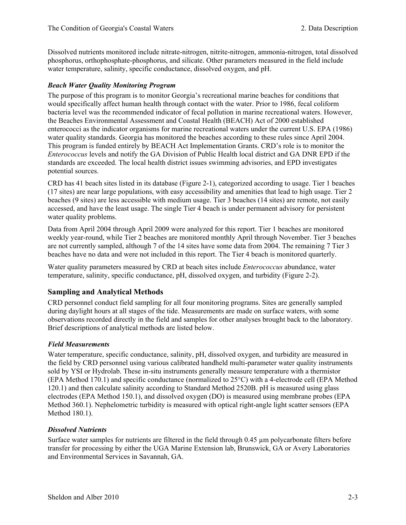Dissolved nutrients monitored include nitrate-nitrogen, nitrite-nitrogen, ammonia-nitrogen, total dissolved phosphorus, orthophosphate-phosphorus, and silicate. Other parameters measured in the field include water temperature, salinity, specific conductance, dissolved oxygen, and pH.

#### *Beach Water Quality Monitoring Program*

The purpose of this program is to monitor Georgia's recreational marine beaches for conditions that would specifically affect human health through contact with the water. Prior to 1986, fecal coliform bacteria level was the recommended indicator of fecal pollution in marine recreational waters. However, the Beaches Environmental Assessment and Coastal Health (BEACH) Act of 2000 established enterococci as the indicator organisms for marine recreational waters under the current U.S. EPA (1986) water quality standards. Georgia has monitored the beaches according to these rules since April 2004. This program is funded entirely by BEACH Act Implementation Grants. CRD's role is to monitor the *Enterococcus* levels and notify the GA Division of Public Health local district and GA DNR EPD if the standards are exceeded. The local health district issues swimming advisories, and EPD investigates potential sources.

CRD has 41 beach sites listed in its database (Figure 2-1), categorized according to usage. Tier 1 beaches (17 sites) are near large populations, with easy accessibility and amenities that lead to high usage. Tier 2 beaches (9 sites) are less accessible with medium usage. Tier 3 beaches (14 sites) are remote, not easily accessed, and have the least usage. The single Tier 4 beach is under permanent advisory for persistent water quality problems.

Data from April 2004 through April 2009 were analyzed for this report. Tier 1 beaches are monitored weekly year-round, while Tier 2 beaches are monitored monthly April through November. Tier 3 beaches are not currently sampled, although 7 of the 14 sites have some data from 2004. The remaining 7 Tier 3 beaches have no data and were not included in this report. The Tier 4 beach is monitored quarterly.

Water quality parameters measured by CRD at beach sites include *Enterococcus* abundance, water temperature, salinity, specific conductance, pH, dissolved oxygen, and turbidity (Figure 2-2).

#### **Sampling and Analytical Methods**

CRD personnel conduct field sampling for all four monitoring programs. Sites are generally sampled during daylight hours at all stages of the tide. Measurements are made on surface waters, with some observations recorded directly in the field and samples for other analyses brought back to the laboratory. Brief descriptions of analytical methods are listed below.

#### *Field Measurements*

Water temperature, specific conductance, salinity, pH, dissolved oxygen, and turbidity are measured in the field by CRD personnel using various calibrated handheld multi-parameter water quality instruments sold by YSI or Hydrolab. These in-situ instruments generally measure temperature with a thermistor (EPA Method 170.1) and specific conductance (normalized to 25°C) with a 4-electrode cell (EPA Method 120.1) and then calculate salinity according to Standard Method 2520B. pH is measured using glass electrodes (EPA Method 150.1), and dissolved oxygen (DO) is measured using membrane probes (EPA Method 360.1). Nephelometric turbidity is measured with optical right-angle light scatter sensors (EPA Method 180.1).

#### *Dissolved Nutrients*

Surface water samples for nutrients are filtered in the field through 0.45 µm polycarbonate filters before transfer for processing by either the UGA Marine Extension lab, Brunswick, GA or Avery Laboratories and Environmental Services in Savannah, GA.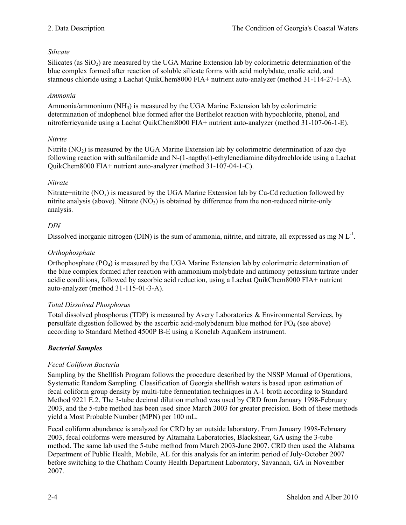# *Silicate*

Silicates (as  $SiO<sub>2</sub>$ ) are measured by the UGA Marine Extension lab by colorimetric determination of the blue complex formed after reaction of soluble silicate forms with acid molybdate, oxalic acid, and stannous chloride using a Lachat QuikChem8000 FIA+ nutrient auto-analyzer (method 31-114-27-1-A).

#### *Ammonia*

Ammonia/ammonium (NH3) is measured by the UGA Marine Extension lab by colorimetric determination of indophenol blue formed after the Berthelot reaction with hypochlorite, phenol, and nitroferricyanide using a Lachat QuikChem8000 FIA+ nutrient auto-analyzer (method 31-107-06-1-E).

#### *Nitrite*

Nitrite  $(NO<sub>2</sub>)$  is measured by the UGA Marine Extension lab by colorimetric determination of azo dye following reaction with sulfanilamide and N-(1-napthyl)-ethylenediamine dihydrochloride using a Lachat QuikChem8000 FIA+ nutrient auto-analyzer (method 31-107-04-1-C).

#### *Nitrate*

Nitrate+nitrite  $(NO_x)$  is measured by the UGA Marine Extension lab by Cu-Cd reduction followed by nitrite analysis (above). Nitrate  $(NO_3)$  is obtained by difference from the non-reduced nitrite-only analysis.

#### *DIN*

Dissolved inorganic nitrogen (DIN) is the sum of ammonia, nitrite, and nitrate, all expressed as mg N  $L^{-1}$ .

#### *Orthophosphate*

Orthophosphate  $(PO_4)$  is measured by the UGA Marine Extension lab by colorimetric determination of the blue complex formed after reaction with ammonium molybdate and antimony potassium tartrate under acidic conditions, followed by ascorbic acid reduction, using a Lachat QuikChem8000 FIA+ nutrient auto-analyzer (method 31-115-01-3-A).

#### *Total Dissolved Phosphorus*

Total dissolved phosphorus (TDP) is measured by Avery Laboratories & Environmental Services, by persulfate digestion followed by the ascorbic acid-molybdenum blue method for  $PQ_4$  (see above) according to Standard Method 4500P B-E using a Konelab AquaKem instrument.

# *Bacterial Samples*

#### *Fecal Coliform Bacteria*

Sampling by the Shellfish Program follows the procedure described by the NSSP Manual of Operations, Systematic Random Sampling. Classification of Georgia shellfish waters is based upon estimation of fecal coliform group density by multi-tube fermentation techniques in A-1 broth according to Standard Method 9221 E.2. The 3-tube decimal dilution method was used by CRD from January 1998-February 2003, and the 5-tube method has been used since March 2003 for greater precision. Both of these methods yield a Most Probable Number (MPN) per 100 mL.

Fecal coliform abundance is analyzed for CRD by an outside laboratory. From January 1998-February 2003, fecal coliforms were measured by Altamaha Laboratories, Blackshear, GA using the 3-tube method. The same lab used the 5-tube method from March 2003-June 2007. CRD then used the Alabama Department of Public Health, Mobile, AL for this analysis for an interim period of July-October 2007 before switching to the Chatham County Health Department Laboratory, Savannah, GA in November 2007.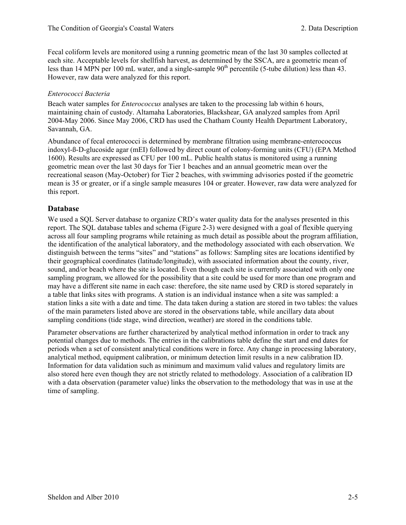Fecal coliform levels are monitored using a running geometric mean of the last 30 samples collected at each site. Acceptable levels for shellfish harvest, as determined by the SSCA, are a geometric mean of less than 14 MPN per 100 mL water, and a single-sample  $90<sup>th</sup>$  percentile (5-tube dilution) less than 43. However, raw data were analyzed for this report.

### *Enterococci Bacteria*

Beach water samples for *Enterococcus* analyses are taken to the processing lab within 6 hours, maintaining chain of custody. Altamaha Laboratories, Blackshear, GA analyzed samples from April 2004-May 2006. Since May 2006, CRD has used the Chatham County Health Department Laboratory, Savannah, GA.

Abundance of fecal enterococci is determined by membrane filtration using membrane-enterococcus indoxyl-ß-D-glucoside agar (mEI) followed by direct count of colony-forming units (CFU) (EPA Method 1600). Results are expressed as CFU per 100 mL. Public health status is monitored using a running geometric mean over the last 30 days for Tier 1 beaches and an annual geometric mean over the recreational season (May-October) for Tier 2 beaches, with swimming advisories posted if the geometric mean is 35 or greater, or if a single sample measures 104 or greater. However, raw data were analyzed for this report.

# **Database**

We used a SQL Server database to organize CRD's water quality data for the analyses presented in this report. The SQL database tables and schema (Figure 2-3) were designed with a goal of flexible querying across all four sampling programs while retaining as much detail as possible about the program affiliation, the identification of the analytical laboratory, and the methodology associated with each observation. We distinguish between the terms "sites" and "stations" as follows: Sampling sites are locations identified by their geographical coordinates (latitude/longitude), with associated information about the county, river, sound, and/or beach where the site is located. Even though each site is currently associated with only one sampling program, we allowed for the possibility that a site could be used for more than one program and may have a different site name in each case: therefore, the site name used by CRD is stored separately in a table that links sites with programs. A station is an individual instance when a site was sampled: a station links a site with a date and time. The data taken during a station are stored in two tables: the values of the main parameters listed above are stored in the observations table, while ancillary data about sampling conditions (tide stage, wind direction, weather) are stored in the conditions table.

Parameter observations are further characterized by analytical method information in order to track any potential changes due to methods. The entries in the calibrations table define the start and end dates for periods when a set of consistent analytical conditions were in force. Any change in processing laboratory, analytical method, equipment calibration, or minimum detection limit results in a new calibration ID. Information for data validation such as minimum and maximum valid values and regulatory limits are also stored here even though they are not strictly related to methodology. Association of a calibration ID with a data observation (parameter value) links the observation to the methodology that was in use at the time of sampling.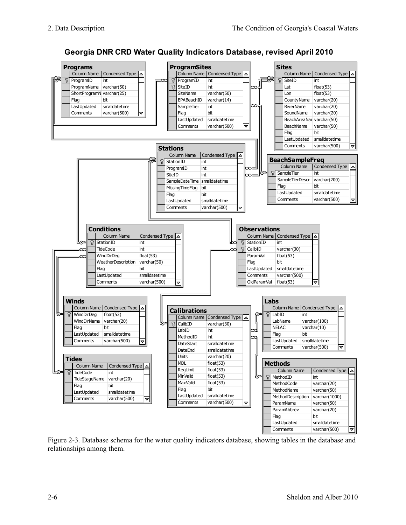



Figure 2-3. Database schema for the water quality indicators database, showing tables in the database and relationships among them.